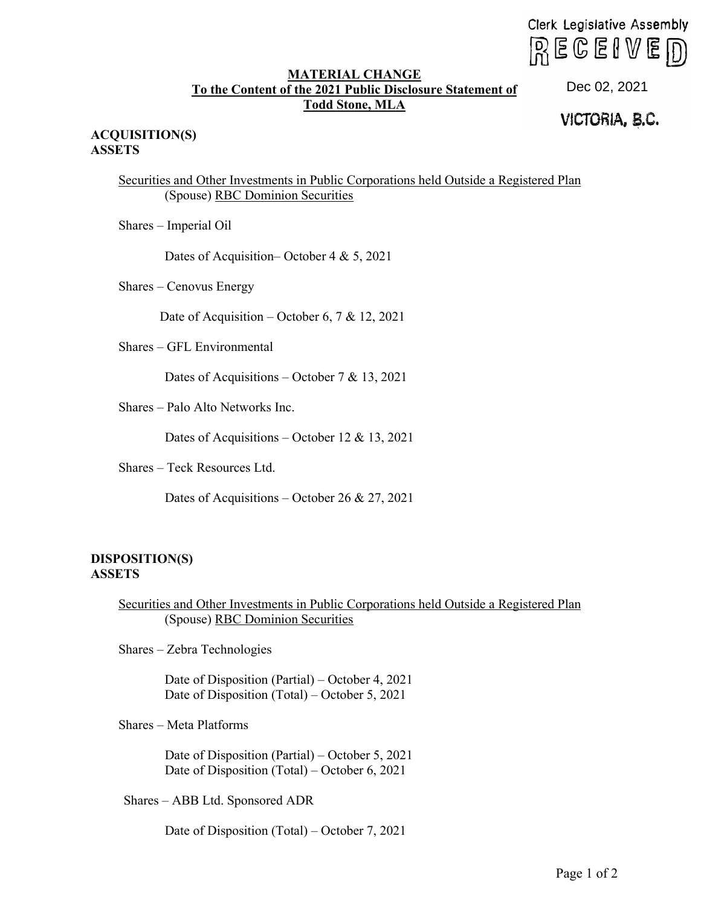Clerk Legislative Assembly  $R \mathsf{ECEIVE}$ 

## **MATERIAL CHANGE To the Content of the 2021 Public Disclosure Statement of Todd Stone, MLA**

## VICTORIA, **e.c.** Dec 02, 2021

## **ACQUISITION(S) ASSETS**

Securities and Other Investments in Public Corporations held Outside a Registered Plan (Spouse) RBC Dominion Securities

Shares – Imperial Oil

Dates of Acquisition–October 4 & 5, 2021

Shares – Cenovus Energy

Date of Acquisition – October 6, 7 & 12, 2021

Shares – GFL Environmental

Dates of Acquisitions – October 7 & 13, 2021

Shares – Palo Alto Networks Inc.

Dates of Acquisitions – October 12 & 13, 2021

Shares – Teck Resources Ltd.

Dates of Acquisitions – October 26 & 27, 2021

## **DISPOSITION(S) ASSETS**

Securities and Other Investments in Public Corporations held Outside a Registered Plan (Spouse) RBC Dominion Securities

Shares – Zebra Technologies

Date of Disposition (Partial) – October 4, 2021 Date of Disposition (Total) – October 5, 2021

Shares – Meta Platforms

Date of Disposition (Partial) – October 5, 2021 Date of Disposition (Total) – October 6, 2021

Shares – ABB Ltd. Sponsored ADR

Date of Disposition (Total) – October 7, 2021